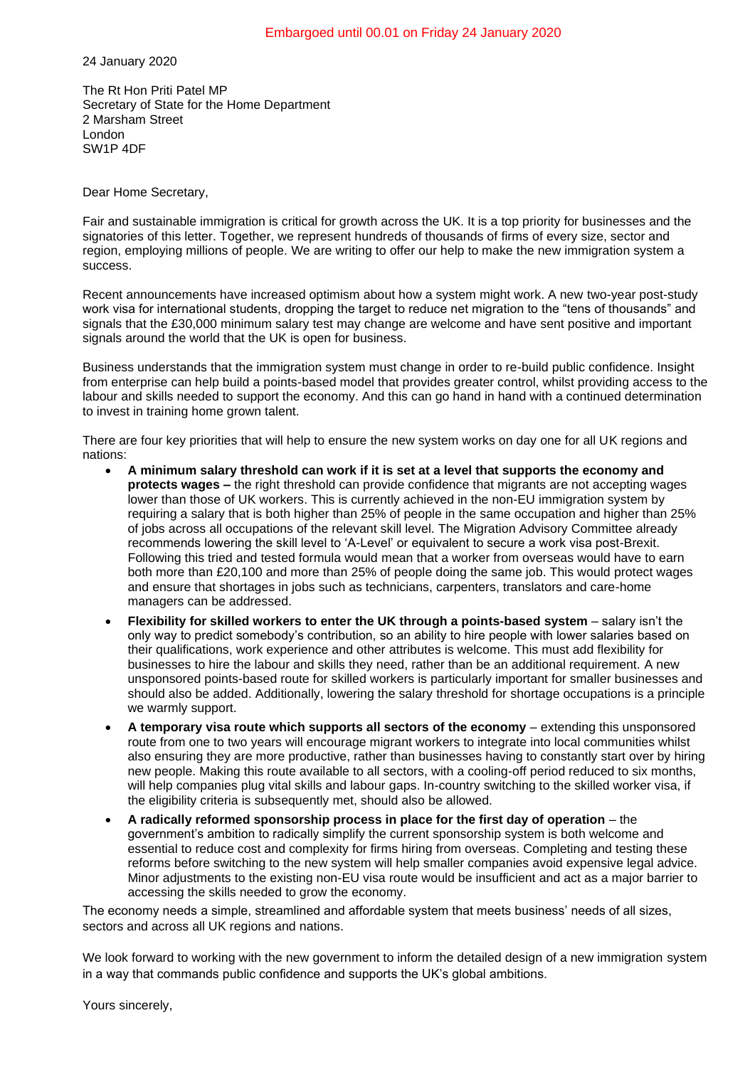24 January 2020

The Rt Hon Priti Patel MP Secretary of State for the Home Department 2 Marsham Street London SW1P 4DF

Dear Home Secretary,

Fair and sustainable immigration is critical for growth across the UK. It is a top priority for businesses and the signatories of this letter. Together, we represent hundreds of thousands of firms of every size, sector and region, employing millions of people. We are writing to offer our help to make the new immigration system a success.

Recent announcements have increased optimism about how a system might work. A new two-year post-study work visa for international students, dropping the target to reduce net migration to the "tens of thousands" and signals that the £30,000 minimum salary test may change are welcome and have sent positive and important signals around the world that the UK is open for business.

Business understands that the immigration system must change in order to re-build public confidence. Insight from enterprise can help build a points-based model that provides greater control, whilst providing access to the labour and skills needed to support the economy. And this can go hand in hand with a continued determination to invest in training home grown talent.

There are four key priorities that will help to ensure the new system works on day one for all UK regions and nations:

- **A minimum salary threshold can work if it is set at a level that supports the economy and protects wages –** the right threshold can provide confidence that migrants are not accepting wages lower than those of UK workers. This is currently achieved in the non-EU immigration system by requiring a salary that is both higher than 25% of people in the same occupation and higher than 25% of jobs across all occupations of the relevant skill level. The Migration Advisory Committee already recommends lowering the skill level to 'A-Level' or equivalent to secure a work visa post-Brexit. Following this tried and tested formula would mean that a worker from overseas would have to earn both more than £20,100 and more than 25% of people doing the same job. This would protect wages and ensure that shortages in jobs such as technicians, carpenters, translators and care-home managers can be addressed.
- Flexibility for skilled workers to enter the UK through a points-based system salary isn't the only way to predict somebody's contribution, so an ability to hire people with lower salaries based on their qualifications, work experience and other attributes is welcome. This must add flexibility for businesses to hire the labour and skills they need, rather than be an additional requirement. A new unsponsored points-based route for skilled workers is particularly important for smaller businesses and should also be added. Additionally, lowering the salary threshold for shortage occupations is a principle we warmly support.
- **A temporary visa route which supports all sectors of the economy**  extending this unsponsored route from one to two years will encourage migrant workers to integrate into local communities whilst also ensuring they are more productive, rather than businesses having to constantly start over by hiring new people. Making this route available to all sectors, with a cooling-off period reduced to six months, will help companies plug vital skills and labour gaps. In-country switching to the skilled worker visa, if the eligibility criteria is subsequently met, should also be allowed.
- A radically reformed sponsorship process in place for the first day of operation the government's ambition to radically simplify the current sponsorship system is both welcome and essential to reduce cost and complexity for firms hiring from overseas. Completing and testing these reforms before switching to the new system will help smaller companies avoid expensive legal advice. Minor adjustments to the existing non-EU visa route would be insufficient and act as a major barrier to accessing the skills needed to grow the economy.

The economy needs a simple, streamlined and affordable system that meets business' needs of all sizes, sectors and across all UK regions and nations.

We look forward to working with the new government to inform the detailed design of a new immigration system in a way that commands public confidence and supports the UK's global ambitions.

Yours sincerely,